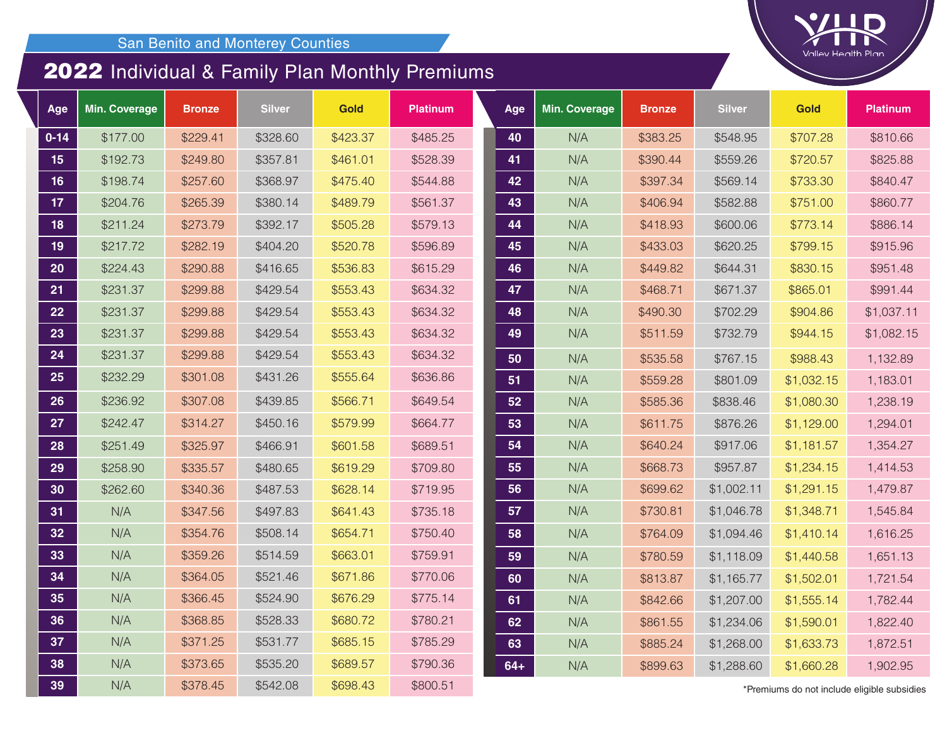## Individual & Family Plan Monthly Premiums

| Age             | <b>Min. Coverage</b> | <b>Bronze</b> | <b>Silver</b> | <b>Gold</b> | <b>Platinum</b> | Age   | <b>Min. Coverage</b> | <b>Bronze</b> | <b>Silver</b> | <b>Gold</b>                                | <b>Platinum</b> |
|-----------------|----------------------|---------------|---------------|-------------|-----------------|-------|----------------------|---------------|---------------|--------------------------------------------|-----------------|
| $0 - 14$        | \$177.00             | \$229.41      | \$328.60      | \$423.37    | \$485.25        | 40    | N/A                  | \$383.25      | \$548.95      | \$707.28                                   | \$810.66        |
| 15              | \$192.73             | \$249.80      | \$357.81      | \$461.01    | \$528.39        | 41    | N/A                  | \$390.44      | \$559.26      | \$720.57                                   | \$825.88        |
| 16              | \$198.74             | \$257.60      | \$368.97      | \$475.40    | \$544.88        | 42    | N/A                  | \$397.34      | \$569.14      | \$733.30                                   | \$840.47        |
| 17 <sub>2</sub> | \$204.76             | \$265.39      | \$380.14      | \$489.79    | \$561.37        | 43    | N/A                  | \$406.94      | \$582.88      | \$751.00                                   | \$860.77        |
| 18              | \$211.24             | \$273.79      | \$392.17      | \$505.28    | \$579.13        | 44    | N/A                  | \$418.93      | \$600.06      | \$773.14                                   | \$886.14        |
| 19              | \$217.72             | \$282.19      | \$404.20      | \$520.78    | \$596.89        | 45    | N/A                  | \$433.03      | \$620.25      | \$799.15                                   | \$915.96        |
| 20              | \$224.43             | \$290.88      | \$416.65      | \$536.83    | \$615.29        | 46    | N/A                  | \$449.82      | \$644.31      | \$830.15                                   | \$951.48        |
| 21              | \$231.37             | \$299.88      | \$429.54      | \$553.43    | \$634.32        | 47    | N/A                  | \$468.71      | \$671.37      | \$865.01                                   | \$991.44        |
| 22              | \$231.37             | \$299.88      | \$429.54      | \$553.43    | \$634.32        | 48    | N/A                  | \$490.30      | \$702.29      | \$904.86                                   | \$1,037.11      |
| 23              | \$231.37             | \$299.88      | \$429.54      | \$553.43    | \$634.32        | 49    | N/A                  | \$511.59      | \$732.79      | \$944.15                                   | \$1,082.15      |
| 24              | \$231.37             | \$299.88      | \$429.54      | \$553.43    | \$634.32        | 50    | N/A                  | \$535.58      | \$767.15      | \$988.43                                   | 1,132.89        |
| 25              | \$232.29             | \$301.08      | \$431.26      | \$555.64    | \$636.86        | 51    | N/A                  | \$559.28      | \$801.09      | \$1,032.15                                 | 1,183.01        |
| 26              | \$236.92             | \$307.08      | \$439.85      | \$566.71    | \$649.54        | 52    | N/A                  | \$585.36      | \$838.46      | \$1,080.30                                 | 1,238.19        |
| 27              | \$242.47             | \$314.27      | \$450.16      | \$579.99    | \$664.77        | 53    | N/A                  | \$611.75      | \$876.26      | \$1,129.00                                 | 1,294.01        |
| 28              | \$251.49             | \$325.97      | \$466.91      | \$601.58    | \$689.51        | 54    | N/A                  | \$640.24      | \$917.06      | \$1,181.57                                 | 1,354.27        |
| 29              | \$258.90             | \$335.57      | \$480.65      | \$619.29    | \$709.80        | 55    | N/A                  | \$668.73      | \$957.87      | \$1,234.15                                 | 1,414.53        |
| 30              | \$262.60             | \$340.36      | \$487.53      | \$628.14    | \$719.95        | 56    | N/A                  | \$699.62      | \$1,002.11    | \$1,291.15                                 | 1,479.87        |
| 31              | N/A                  | \$347.56      | \$497.83      | \$641.43    | \$735.18        | 57    | N/A                  | \$730.81      | \$1,046.78    | \$1,348.71                                 | 1,545.84        |
| 32              | N/A                  | \$354.76      | \$508.14      | \$654.71    | \$750.40        | 58    | N/A                  | \$764.09      | \$1,094.46    | \$1,410.14                                 | 1,616.25        |
| 33              | N/A                  | \$359.26      | \$514.59      | \$663.01    | \$759.91        | 59    | N/A                  | \$780.59      | \$1,118.09    | \$1,440.58                                 | 1,651.13        |
| 34              | N/A                  | \$364.05      | \$521.46      | \$671.86    | \$770.06        | 60    | N/A                  | \$813.87      | \$1,165.77    | \$1,502.01                                 | 1,721.54        |
| 35              | N/A                  | \$366.45      | \$524.90      | \$676.29    | \$775.14        | 61    | N/A                  | \$842.66      | \$1,207.00    | \$1,555.14                                 | 1,782.44        |
| 36              | N/A                  | \$368.85      | \$528.33      | \$680.72    | \$780.21        | 62    | N/A                  | \$861.55      | \$1,234.06    | \$1,590.01                                 | 1,822.40        |
| 37              | N/A                  | \$371.25      | \$531.77      | \$685.15    | \$785.29        | 63    | N/A                  | \$885.24      | \$1,268.00    | \$1,633.73                                 | 1,872.51        |
| 38              | N/A                  | \$373.65      | \$535.20      | \$689.57    | \$790.36        | $64+$ | N/A                  | \$899.63      | \$1,288.60    | \$1,660.28                                 | 1,902.95        |
| 39              | N/A                  | \$378.45      | \$542.08      | \$698.43    | \$800.51        |       |                      |               |               | Premiums do not include eligible subsidie* |                 |

\*Premiums do not include eligible subsidies

Valley Health Plan